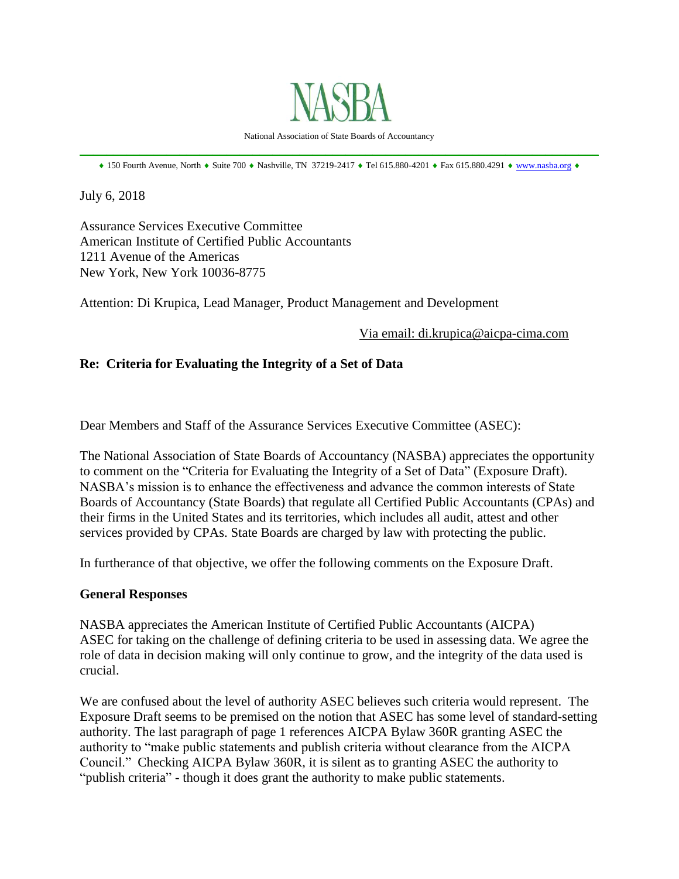

National Association of State Boards of Accountancy \_\_\_\_\_\_\_\_\_\_\_\_\_\_\_\_\_\_\_\_\_\_\_\_\_\_\_\_\_\_\_\_\_\_\_\_\_\_\_\_\_\_\_\_\_\_\_\_\_\_\_\_\_\_\_\_\_\_\_\_\_\_\_\_\_\_\_\_\_\_\_\_\_\_\_\_\_\_

 $*$  150 Fourth Avenue, North  $*$  Suite 700  $*$  Nashville, TN 37219-2417  $*$  Tel 615.880-4201  $*$  Fax 615.880.4291  $*$  [www.nasba.org](http://www.nasba.org/)  $*$ 

July 6, 2018

Assurance Services Executive Committee American Institute of Certified Public Accountants 1211 Avenue of the Americas New York, New York 10036-8775

Attention: Di Krupica, Lead Manager, Product Management and Development

Via email: di.krupica@aicpa-cima.com

## **Re: Criteria for Evaluating the Integrity of a Set of Data**

Dear Members and Staff of the Assurance Services Executive Committee (ASEC):

The National Association of State Boards of Accountancy (NASBA) appreciates the opportunity to comment on the "Criteria for Evaluating the Integrity of a Set of Data" (Exposure Draft). NASBA's mission is to enhance the effectiveness and advance the common interests of State Boards of Accountancy (State Boards) that regulate all Certified Public Accountants (CPAs) and their firms in the United States and its territories, which includes all audit, attest and other services provided by CPAs. State Boards are charged by law with protecting the public.

In furtherance of that objective, we offer the following comments on the Exposure Draft.

## **General Responses**

NASBA appreciates the American Institute of Certified Public Accountants (AICPA) ASEC for taking on the challenge of defining criteria to be used in assessing data. We agree the role of data in decision making will only continue to grow, and the integrity of the data used is crucial.

We are confused about the level of authority ASEC believes such criteria would represent. The Exposure Draft seems to be premised on the notion that ASEC has some level of standard-setting authority. The last paragraph of page 1 references AICPA Bylaw 360R granting ASEC the authority to "make public statements and publish criteria without clearance from the AICPA Council." Checking AICPA Bylaw 360R, it is silent as to granting ASEC the authority to "publish criteria" - though it does grant the authority to make public statements.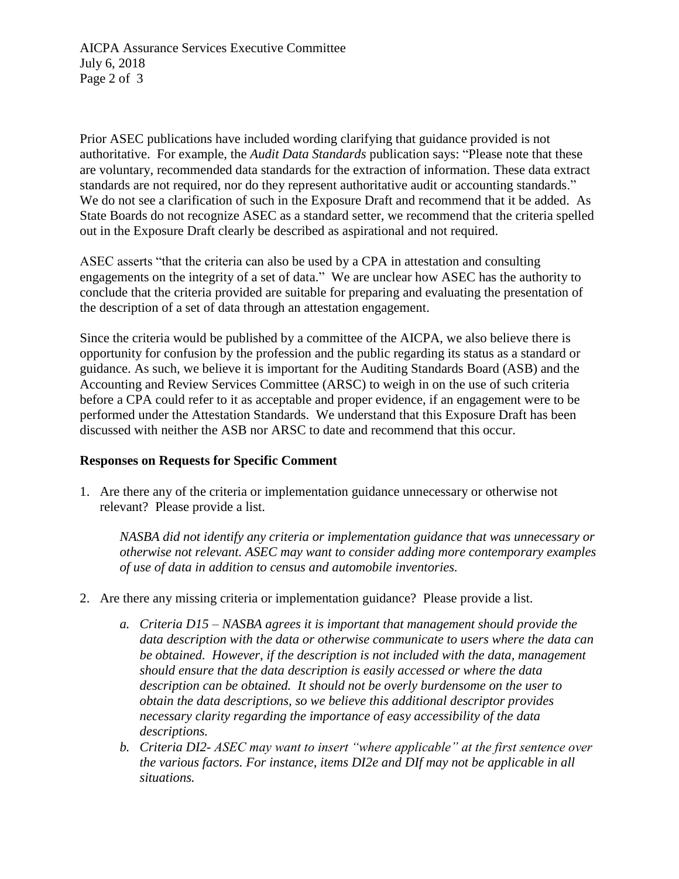Prior ASEC publications have included wording clarifying that guidance provided is not authoritative. For example, the *Audit Data Standards* publication says: "Please note that these are voluntary, recommended data standards for the extraction of information. These data extract standards are not required, nor do they represent authoritative audit or accounting standards." We do not see a clarification of such in the Exposure Draft and recommend that it be added. As State Boards do not recognize ASEC as a standard setter, we recommend that the criteria spelled out in the Exposure Draft clearly be described as aspirational and not required.

ASEC asserts "that the criteria can also be used by a CPA in attestation and consulting engagements on the integrity of a set of data." We are unclear how ASEC has the authority to conclude that the criteria provided are suitable for preparing and evaluating the presentation of the description of a set of data through an attestation engagement.

Since the criteria would be published by a committee of the AICPA, we also believe there is opportunity for confusion by the profession and the public regarding its status as a standard or guidance. As such, we believe it is important for the Auditing Standards Board (ASB) and the Accounting and Review Services Committee (ARSC) to weigh in on the use of such criteria before a CPA could refer to it as acceptable and proper evidence, if an engagement were to be performed under the Attestation Standards. We understand that this Exposure Draft has been discussed with neither the ASB nor ARSC to date and recommend that this occur.

## **Responses on Requests for Specific Comment**

1. Are there any of the criteria or implementation guidance unnecessary or otherwise not relevant? Please provide a list.

*NASBA did not identify any criteria or implementation guidance that was unnecessary or otherwise not relevant. ASEC may want to consider adding more contemporary examples of use of data in addition to census and automobile inventories.* 

- 2. Are there any missing criteria or implementation guidance? Please provide a list.
	- *a. Criteria D15 – NASBA agrees it is important that management should provide the data description with the data or otherwise communicate to users where the data can be obtained. However, if the description is not included with the data, management should ensure that the data description is easily accessed or where the data description can be obtained. It should not be overly burdensome on the user to obtain the data descriptions, so we believe this additional descriptor provides necessary clarity regarding the importance of easy accessibility of the data descriptions.*
	- *b. Criteria DI2- ASEC may want to insert "where applicable" at the first sentence over the various factors. For instance, items DI2e and DIf may not be applicable in all situations.*